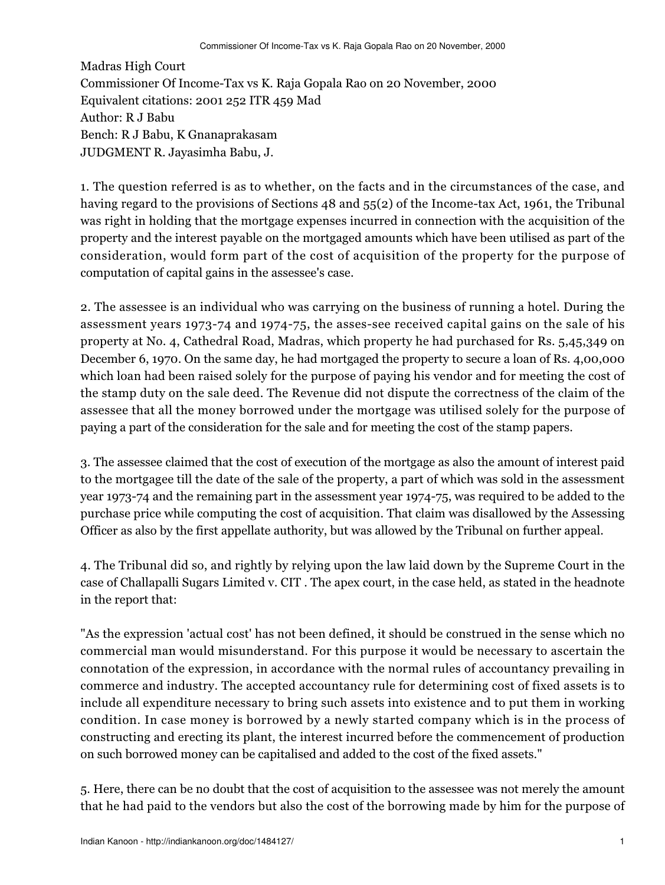Madras High Court Commissioner Of Income-Tax vs K. Raja Gopala Rao on 20 November, 2000 Equivalent citations: 2001 252 ITR 459 Mad Author: R J Babu Bench: R J Babu, K Gnanaprakasam JUDGMENT R. Jayasimha Babu, J.

1. The question referred is as to whether, on the facts and in the circumstances of the case, and having regard to the provisions of Sections 48 and 55(2) of the Income-tax Act, 1961, the Tribunal was right in holding that the mortgage expenses incurred in connection with the acquisition of the property and the interest payable on the mortgaged amounts which have been utilised as part of the consideration, would form part of the cost of acquisition of the property for the purpose of computation of capital gains in the assessee's case.

2. The assessee is an individual who was carrying on the business of running a hotel. During the assessment years 1973-74 and 1974-75, the asses-see received capital gains on the sale of his property at No. 4, Cathedral Road, Madras, which property he had purchased for Rs. 5,45,349 on December 6, 1970. On the same day, he had mortgaged the property to secure a loan of Rs. 4,00,000 which loan had been raised solely for the purpose of paying his vendor and for meeting the cost of the stamp duty on the sale deed. The Revenue did not dispute the correctness of the claim of the assessee that all the money borrowed under the mortgage was utilised solely for the purpose of paying a part of the consideration for the sale and for meeting the cost of the stamp papers.

3. The assessee claimed that the cost of execution of the mortgage as also the amount of interest paid to the mortgagee till the date of the sale of the property, a part of which was sold in the assessment year 1973-74 and the remaining part in the assessment year 1974-75, was required to be added to the purchase price while computing the cost of acquisition. That claim was disallowed by the Assessing Officer as also by the first appellate authority, but was allowed by the Tribunal on further appeal.

4. The Tribunal did so, and rightly by relying upon the law laid down by the Supreme Court in the case of Challapalli Sugars Limited v. CIT . The apex court, in the case held, as stated in the headnote in the report that:

"As the expression 'actual cost' has not been defined, it should be construed in the sense which no commercial man would misunderstand. For this purpose it would be necessary to ascertain the connotation of the expression, in accordance with the normal rules of accountancy prevailing in commerce and industry. The accepted accountancy rule for determining cost of fixed assets is to include all expenditure necessary to bring such assets into existence and to put them in working condition. In case money is borrowed by a newly started company which is in the process of constructing and erecting its plant, the interest incurred before the commencement of production on such borrowed money can be capitalised and added to the cost of the fixed assets."

5. Here, there can be no doubt that the cost of acquisition to the assessee was not merely the amount that he had paid to the vendors but also the cost of the borrowing made by him for the purpose of